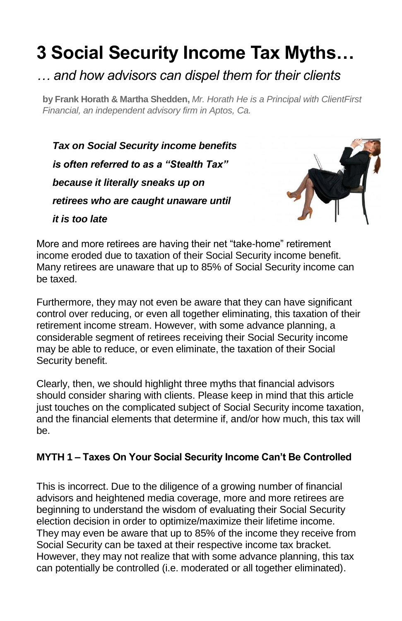# **3 Social Security Income Tax Myths…**

## *… and how advisors can dispel them for their clients*

**by Frank Horath & Martha Shedden,** *Mr. Horath He is a Principal with ClientFirst Financial, an independent advisory firm in Aptos, Ca.* 

*Tax on Social Security income benefits is often referred to as a "Stealth Tax" because it literally sneaks up on retirees who are caught unaware until it is too late*



More and more retirees are having their net "take-home" retirement income eroded due to taxation of their Social Security income benefit. Many retirees are unaware that up to 85% of Social Security income can be taxed.

Furthermore, they may not even be aware that they can have significant control over reducing, or even all together eliminating, this taxation of their retirement income stream. However, with some advance planning, a considerable segment of retirees receiving their Social Security income may be able to reduce, or even eliminate, the taxation of their Social Security benefit.

Clearly, then, we should highlight three myths that financial advisors should consider sharing with clients. Please keep in mind that this article just touches on the complicated subject of Social Security income taxation, and the financial elements that determine if, and/or how much, this tax will be.

### **MYTH 1 – Taxes On Your Social Security Income Can't Be Controlled**

This is incorrect. Due to the diligence of a growing number of financial advisors and heightened media coverage, more and more retirees are beginning to understand the wisdom of evaluating their Social Security election decision in order to optimize/maximize their lifetime income. They may even be aware that up to 85% of the income they receive from Social Security can be taxed at their respective income tax bracket. However, they may not realize that with some advance planning, this tax can potentially be controlled (i.e. moderated or all together eliminated).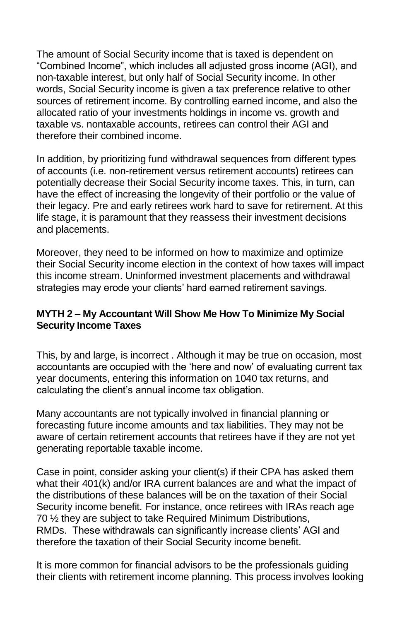The amount of Social Security income that is taxed is dependent on "Combined Income", which includes all adjusted gross income (AGI), and non-taxable interest, but only half of Social Security income. In other words, Social Security income is given a tax preference relative to other sources of retirement income. By controlling earned income, and also the allocated ratio of your investments holdings in income vs. growth and taxable vs. nontaxable accounts, retirees can control their AGI and therefore their combined income.

In addition, by prioritizing fund withdrawal sequences from different types of accounts (i.e. non-retirement versus retirement accounts) retirees can potentially decrease their Social Security income taxes. This, in turn, can have the effect of increasing the longevity of their portfolio or the value of their legacy. Pre and early retirees work hard to save for retirement. At this life stage, it is paramount that they reassess their investment decisions and placements.

Moreover, they need to be informed on how to maximize and optimize their Social Security income election in the context of how taxes will impact this income stream. Uninformed investment placements and withdrawal strategies may erode your clients' hard earned retirement savings.

#### **MYTH 2 – My Accountant Will Show Me How To Minimize My Social Security Income Taxes**

This, by and large, is incorrect . Although it may be true on occasion, most accountants are occupied with the 'here and now' of evaluating current tax year documents, entering this information on 1040 tax returns, and calculating the client's annual income tax obligation.

Many accountants are not typically involved in financial planning or forecasting future income amounts and tax liabilities. They may not be aware of certain retirement accounts that retirees have if they are not yet generating reportable taxable income.

Case in point, consider asking your client(s) if their CPA has asked them what their 401(k) and/or IRA current balances are and what the impact of the distributions of these balances will be on the taxation of their Social Security income benefit. For instance, once retirees with IRAs reach age 70 ½ they are subject to take Required Minimum Distributions, RMDs. These withdrawals can significantly increase clients' AGI and therefore the taxation of their Social Security income benefit.

It is more common for financial advisors to be the professionals guiding their clients with retirement income planning. This process involves looking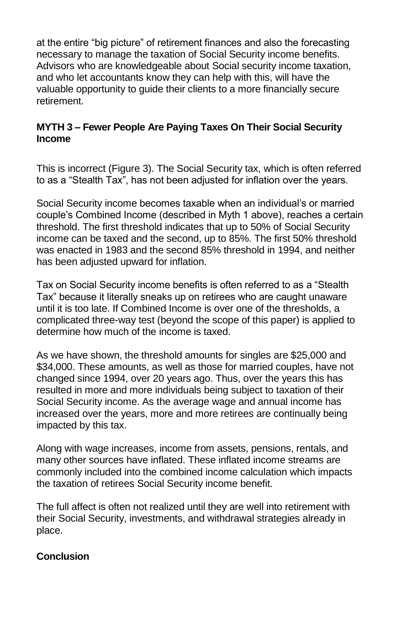at the entire "big picture" of retirement finances and also the forecasting necessary to manage the taxation of Social Security income benefits. Advisors who are knowledgeable about Social security income taxation, and who let accountants know they can help with this, will have the valuable opportunity to guide their clients to a more financially secure retirement.

#### **MYTH 3 – Fewer People Are Paying Taxes On Their Social Security Income**

This is incorrect (Figure 3). The Social Security tax, which is often referred to as a "Stealth Tax", has not been adjusted for inflation over the years.

Social Security income becomes taxable when an individual's or married couple's Combined Income (described in Myth 1 above), reaches a certain threshold. The first threshold indicates that up to 50% of Social Security income can be taxed and the second, up to 85%. The first 50% threshold was enacted in 1983 and the second 85% threshold in 1994, and neither has been adjusted upward for inflation.

Tax on Social Security income benefits is often referred to as a "Stealth Tax" because it literally sneaks up on retirees who are caught unaware until it is too late. If Combined Income is over one of the thresholds, a complicated three-way test (beyond the scope of this paper) is applied to determine how much of the income is taxed.

As we have shown, the threshold amounts for singles are \$25,000 and \$34,000. These amounts, as well as those for married couples, have not changed since 1994, over 20 years ago. Thus, over the years this has resulted in more and more individuals being subject to taxation of their Social Security income. As the average wage and annual income has increased over the years, more and more retirees are continually being impacted by this tax.

Along with wage increases, income from assets, pensions, rentals, and many other sources have inflated. These inflated income streams are commonly included into the combined income calculation which impacts the taxation of retirees Social Security income benefit.

The full affect is often not realized until they are well into retirement with their Social Security, investments, and withdrawal strategies already in place.

#### **Conclusion**